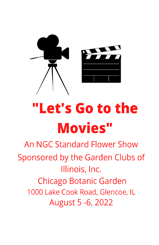

# "Let's Go to the **Movies"**

An NGC Standard Flower Show Sponsored by the Garden Clubs of Illinois, Inc. **Chicago Botanic Garden** 1000 Lake Cook Road, Glencoe, IL August 5 - 6, 2022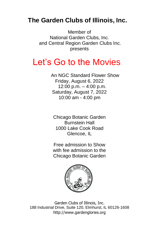# **The Garden Clubs of Illinois, Inc.**

Member of National Garden Clubs, Inc. and Central Region Garden Clubs Inc. presents

# Let's Go to the Movies

An NGC Standard Flower Show Friday, August 6, 2022 12:00 p.m. – 4:00 p.m. Saturday, August 7, 2022 10:00 am - 4:00 pm

Chicago Botanic Garden Burnstein Hall 1000 Lake Cook Road Glencoe, IL

Free admission to Show with fee admission to the Chicago Botanic Garden



Garden Clubs of Illinois, Inc. 188 Industrial Drive, Suite 120, Elmhurst, IL 60126-1608 [http://www.gardenglories.org](http://www.gardenglories.org/)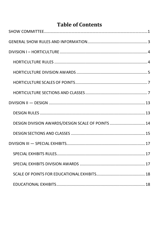# **Table of Contents**

| DESIGN DIVISION AWARDS/DESIGN SCALE OF POINTS  14 |  |
|---------------------------------------------------|--|
|                                                   |  |
|                                                   |  |
|                                                   |  |
|                                                   |  |
|                                                   |  |
|                                                   |  |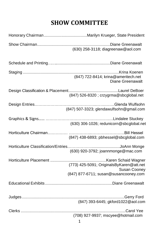# **SHOW COMMITTEE**

<span id="page-4-0"></span>

| (630) 258-3118; diagreenaw@aol.com                                                                       |
|----------------------------------------------------------------------------------------------------------|
|                                                                                                          |
| (847) 722-8414; krina@ameritech.net<br><b>Diane Greenawalt</b>                                           |
| (847) 526-8320 ; crzygrma@sbcglobal.net                                                                  |
| (847) 507-3323; glendawulfsohn@gmail.com                                                                 |
| (630) 306-1026; redunicorn@sbcglobal.net                                                                 |
| (847) 438-6893; pbhessel@sbcglobal.com                                                                   |
| (630) 920-3792; joannmonge@mac.com                                                                       |
| (773) 425-5091; OriginalsByKaren@att.net<br><b>Susan Cooney</b><br>(847) 877-6711; susan@susancooney.com |
|                                                                                                          |
| (847) 393-6445; gkford1022@aol.com                                                                       |
| (708) 927-9937; mscyee@hotmail.com                                                                       |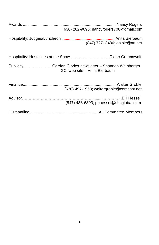| (630) 202-9696; nancyrogers706@gmail.com                                                 |
|------------------------------------------------------------------------------------------|
| (847) 727- 3486; anibie@att.net                                                          |
| Hospitality: Hostesses at the ShowDiane Greenawalt                                       |
| PublicityGarden Glories newsletter - Shannon Weinberger<br>GCI web site - Anita Bierbaum |
| (630) 497-1958; waltergroble@comcast.net                                                 |
| (847) 438-6893; pbhessel@sbcglobal.com                                                   |
|                                                                                          |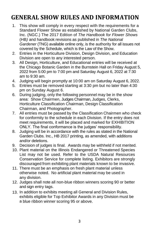# <span id="page-6-0"></span>**GENERAL SHOW RULES AND INFORMATION**

- 1. This show will comply in every respect with the requirements for a Standard Flower Show as established by National Garden Clubs, Inc. (NGC.) The 2017 Edition of *The Handbook for Flower Shows* (HB*)* and handbook revisions as published in *The National Gardener* (TNG) available online only, is the authority for all issues not covered by the Schedule, which is the Law of the Show.
- 2. Entries in the Horticulture Division, Design Division, and Education Division are open to any interested person.
- 3. All Design, Horticulture, and Educational entries will be received at the Chicago Botanic Garden in the Burnstein Hall on Friday August 5, 2022 from 5:00 pm to 7:00 pm and Saturday August 6, 2022 at 7:30 am to 9:30 am.
- 4. Judging will begin promptly at 10:00 am on Saturday August 6, 2022.
- 5. Entries must be removed starting at 3:30 pm but no later than 4:30 pm on Sunday August 6.
- 6. During judging, only the following personnel may be in the show area: Show Chairmen, Judges Chairman, Judges, Clerks, Horticulture Classification Chairman, Design Classification Chairman, and Photographer.
- 7. All entries must be passed by the Classification Chairmen who check for conformity to the schedule in each Division. If the entry does not meet requirements, it will be placed and marked for EXHIBITION ONLY. The final conformance is the judges' responsibility.
- 8. Judging will be in accordance with the rules as stated in the National Garden Clubs. Inc., HB 2017 printing, as amended, with additions and/or deletions.
- 9. Decision of judges is final. Awards may be withheld if not merited.
- 10. Plant material on the Illinois Endangered or Threatened Species List may not be used. Refer to the USDA Natural Resources Conservation Service for complete listing. Exhibitors are strongly discouraged from exhibiting plant materials known to be invasive.
- 11. There must be an emphasis on fresh plant material unless otherwise noted. No artificial plant material may be used in any division.
- 12. Judges shall note all non-blue ribbon winners scoring 90 or better and sign entry tags.
- 13. In addition to exhibits meeting all General and Division Rules, exhibits eligible for Top Exhibitor Awards in any Division must be a blue ribbon winner scoring 95 or above.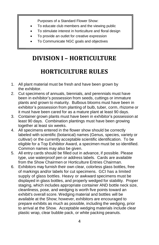Purposes of a Standard Flower Show:

- To educate club members and the viewing public
- To stimulate interest in horticulture and floral design
- To provide an outlet for creative expression
- To Communicate NGC goals and objectives

# <span id="page-7-0"></span>**DIVISION I – HORTICULTURE**

# <span id="page-7-1"></span>**HORTICULTURE RULES**

- 1. All plant material must be fresh and have been grown by the exhibitor.
- 2. Cut specimens of annuals, biennials, and perennials must have been in exhibitor's possession from seeds, cuttings or immature plants and grown to maturity. Bulbous blooms must have been in exhibitor's possession from planting of bulb, tuber, corm, rhizome or it must have been cared for as a mature plant at least 90 days.
- 3. Container grown plants must have been in exhibitor's possession at least 90 days. Combination plantings must have been growing together at least six weeks.
- 4. All specimens entered in the flower show should be correctly labeled with scientific (botanical) names (Genus, species, variety or cultivar) or the currently acceptable scientific identification. To be eligible for a Top Exhibitor Award, a specimen must be so identified. Common names may also be given.
- 5. All entry cards should be filled out in advance, if possible. Please type, use waterproof pen or address labels. Cards are available from the Show Chairmen or Horticulture Entries Chairman.
- 6. Exhibitors may furnish their own clear, colorless glass bottles, free of markings and/or labels for cut specimens. GCI has a limited supply of glass bottles. Heavy or awkward specimens must be displayed in glass bottles, and properly wedged for stability. Proper staging, which includes appropriate container AND bottle neck size, cleanliness, pose, and wedging is worth five points toward an exhibit's overall score. Wedging material and bottles will be available at the Show; however, exhibitors are encouraged to prepare exhibits as much as possible, including the wedging, prior to arrival at the Show. Acceptable wedging materials include clear plastic wrap, clear bubble pack, or white packing peanuts.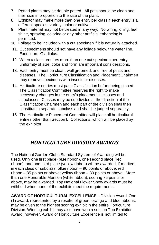- 7. Potted plants may be double potted. All pots should be clean and their size in proportion to the size of the plant.
- 8. Exhibitor may make more than one entry per class if each entry is a different species, variety, color or cultivar.
- 9. Plant material may not be treated in any way. No wiring, oiling, leaf shine, spraying, coloring or any other artificial enhancing is permitted.
- 10. Foliage to be included with a cut specimen if it is naturally attached.
- 11. Cut specimens should not have any foliage below the water line. Exception: Gladiolus.
- 12. When a class requires more than one cut specimen per entry, uniformity of size, color and form are important considerations.
- 13. Each entry must be clean, well groomed, and free of pests and diseases. The Horticulture Classification and Placement Chairmen may remove specimens with insects or diseases.
- 14. Horticulture entries must pass Classification before being placed. The Classification Committee reserves the right to make necessary changes in the entry's placement in classes and subclasses. Classes may be subdivided at the direction of the Classification Chairmen and each part of the division shall then constitute a separate subclass and shall be judged separately.
- 15. The Horticulture Placement Committee will place all horticultural entries other than Section L, Collections, which will be placed by the exhibitor.

## *HORTICULTURE DIVISION AWARDS*

<span id="page-8-0"></span>The National Garden Clubs Standard System of Awarding will be used. Only one first place (blue ribbon), one second place (red ribbon), and one third place (yellow ribbon) will be awarded, if merited, in each class or subclass: bllue ribbon – 90 points or above; red ribbon – 85 points or above; yellow ribbon – 80 points or above. More than one Honorable Mention (white ribbon), scoring 75 points or above, may be awarded. Top National Flower Show awards must be withheld when none of the exhibits meet the requirements.

**AWARD OF HORTICULTURAL EXCELLENCE** – Division Award. One (1) award, represented by a rosette of green, orange and blue ribbons, may be given to the highest scoring exhibit in the entire Horticulture Division. Winning exhibit may also have won a section Top Exhibitor Award; however, Award of Horticulture Excellence is not limited to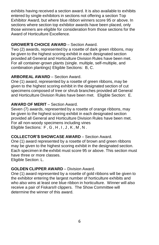exhibits having received a section award. It is also available to exhibits entered by single exhibitors in sections not offering a section Top Exhibitor Award, but where blue ribbon winners score 95 or above. In sections where section top exhibitor awards have been placed, only those winners are eligible for consideration from those sections for the Award of Horticulture Excellence.

#### **GROWER'S CHOICE AWARD** – Section Award.

Two (2) awards, represented by a rosette of dark green ribbons, may be given to the highest scoring exhibit in each designated section provided all General and Horticulture Division Rules have been met. For all container-grown plants (single. multiple, self-multiple, and combination plantings) Eligible Sections: B, C.

#### **ARBOREAL AWARD** – Section Award.

One (1) award, represented by a rosette of green ribbons, may be given to the highest scoring exhibit in the designated section of cut specimens composed of tree or shrub branches provided all General and Horticulture Division Rules have been met. Eligible Section: E.

#### **AWARD OF MERIT** – Section Award.

Seven (7) awards, represented by a rosette of orange ribbons, may be given to the highest scoring exhibit in each designated section provided all General and Horticulture Division Rules have been met. For all non-woody specimens including vines Eligible Sections:  $F, G, H, I, J, K, M, N$ .

#### **COLLECTOR'S SHOWCASE AWARD** – Section Award.

One (1) award represented by a rosette of brown and green ribbons may be given to the highest scoring exhibit in the designated section. Each specimen in the exhibit must score 95 or above. This section must have three or more classes.

Eligible Section: L.

#### **GOLDEN CLIPPER AWARD** – Division Award.

One (1) award represented by a rosette of gold ribbons will be given to the exhibitor entering the largest number of horticulture exhibits and who also wins at least one blue ribbon in horticulture. Winner will also receive a pair of Fiskars® clippers. The Show Committee will determine the winner of this award.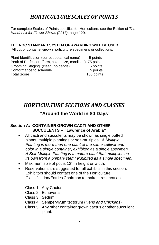## *HORTICULTURE SCALES OF POINTS*

<span id="page-10-0"></span>For complete Scales of Points specifics for Horticulture, see the Edition of *The Handbook for Flower Shows (2017)*, page 129.

#### **THE NGC STANDARD SYSTEM OF AWARDING WILL BE USED**

All cut or container-grown horticulture specimens or collections.

| Plant Identification (correct botanical name)               | 5 points   |
|-------------------------------------------------------------|------------|
| Peak of Perfection (form, color, size, condition) 75 points |            |
| Grooming, Staging (clean, no debris)                        | 15 points  |
| Conformance to schedule                                     | 5 points   |
| <b>Total Score</b>                                          | 100 points |

## <span id="page-10-1"></span>*HORTICULTURE SECTIONS AND CLASSES*

#### **"Around the World in 80 Days"**

#### **Section A: CONTAINER GROWN CACTI AND OTHER SUCCULENTS -- "Lawrence of Arabia"**

- All cacti and succulents may be shown as single potted plants, multiple plantings or self-multiples. *A Multiple Planting is more than one plant of the same cultivar and color in a single container, exhibited as a single specimen. A Self-Multiple Planting is a mature plant that multiplies on its own from a primary stem; exhibited as a single specimen.*
- Maximum size of pot is 12" in height or width.
- Reservations are suggested for all exhibits in this section. Exhibitors should contact one of the Horticulture Classification/Entries Chairman to make a reservation.
	- Class 1. Any Cactus
	- Class 2. Echeveria
	- Class 3. Sedum
	- Class 4. Sempervivum tectorum (*Hens and Chickens*)
	- Class 5. Any other container grown cactus or other succulent plant.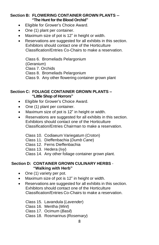#### **Section B: FLOWERING CONTAINER GROWN PLANTS -- "The Hunt for the Blood Orchid"**

- Eligible for Grower's Choice Award.
- One (1) plant per container.
- Maximum size of pot is 12" in height or width.
- Reservations are suggested for all exhibits in this section. Exhibitors should contact one of the Horticulture Classification/Entries Co-Chairs to make a reservation.

Class 6. Bromeliads Pelargonium (*Geranium*) Class 7. Orchids Class 8. Bromeliads Pelargonium

Class 9. Any other flowering container grown plant

#### **Section C: FOLIAGE CONTAINER GROWN PLANTS – "Little Shop of Horrors"**

- Eligible for Grower's Choice Award.
- One (1) plant per container.
- Maximum size of pot is 12" in height or width.
- Reservations are suggested for all exhibits in this section. Exhibitors should contact one of the Horticulture Classification/Entries Chairman to make a reservation.
	- Class 10. Codiaeum Variegatum (*Croton*)
	- Class 11. Dieffenbachia (*Dumb Cane*)
	- Class 12. Ferns Dieffenbachia
	- Class 13. Hedera (*Ivy*)
	- Class 14. Any other foliage container grown plant.

#### **Section D: CONTAINER GROWN CULINARY HERBS** - **"Walking with Herb"**

- One (1) variety per pot.
- Maximum size of pot is 12" in height or width.
- Reservations are suggested for all exhibits in this section. Exhibitors should contact one of the Horticulture Classification/Entries Co-Chairs to make a reservation.
	- Class 15. Lavandula (*Lavender*) Class 16. Mentha (*Mint*) Class 17. Ocimum (*Basil*) Class 18. Rosmarinus (*Rosemary*)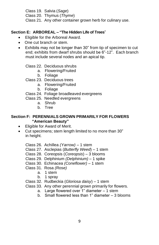Class 19. Salvia (*Sage*) Class 20. Thymus (*Thyme*) Class 21. Any other container grown herb for culinary use.

#### **Section E: ARBOREAL – "The Hidden Life of Trees**"

- Eligible for the Arboreal Award.
- One cut branch or stem.
- Exhibits may not be longer than 30" from tip of specimen to cut end; exhibits from dwarf shrubs should be 6"-12". Each branch must include several nodes and an apical tip.

Class 22. Deciduous shrubs

- a. Flowering/Fruited
- b. Foliage
- Class 23. Deciduous trees
	- a. Flowering/Fruited
	- b. Foliage
- Class 24. Foliage broadleaved evergreens
- Class 25. Needled evergreens
	- a. Shrub
	- b. Tree

#### **Section F: PERENNIALS GROWN PRIMARILY FOR FLOWERS "American Beauty"**

- Eligible for Award of Merit.
- Cut specimens; stem length limited to no more than 30" in height.
	- Class 26. Achillea *(Yarrow)*  1 stem
	- Class 27. Asclepias (*Butterfly Weed*) 1 stem
	- Class 28. Coreopsis (*Coreopsis*) 3 blooms
	- Class 29. Delphinium *(Delphinium)* 1 spike
	- Class 30. Echinacea *(Coneflower)*  1 stem
	- Class 31. Rosa *(Rose)*
		- a. 1 stem
			- b. 1 spray
	- Class 32. Rudbeckia (*Gloriosa daisy*) 1 stem
	- Class 33. Any other perennial grown primarily for flowers.
		- a. Large flowered over 1" diameter 1 stem
		- b. Small flowered less than 1" diameter 3 blooms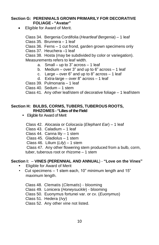#### **Section G: PERENNIALS GROWN PRIMARILY FOR DECORATIVE FOLIAGE - "Avatar"**

- Eligible for Award of Merit.
	- Class 34. Bergenia Cordifolia (*Heartleaf Bergenia*) 1 leaf
	- Class 35. Brunnera 1 leaf
	- Class 36. Ferns 1 cut frond, garden grown specimens only
	- Class 37. Heuchera –1 leaf

Class 38. Hosta (may be subdivided by color or variegation). Measurements refers to leaf width.

- a. Small up to 3" across 1 leaf
- b. Medium over 3" and up to 6" across 1 leaf
- c. Large over  $6"$  and up to  $8"$  across 1 leaf
- d. Extra-large over 8" across 1 leaf
- Class 39. Pulmonaria 1 leaf
- Class 40. Sedum 1 stem

Class 41. Any other leaf/stem of decorative foliage – 1 leaf/stem

#### **Section H: BULBS, CORMS, TUBERS, TUBEROUS ROOTS, RHIZOMES - "Lilies of the Field**

- Eligible for Award of Merit
	- Class 42. Alocasia or Colocasia (*Elephant Ear*) 1 leaf
	- Class 43. Caladium 1 leaf
	- Class 44. Canna lily 1 stem
	- Class 45. Gladiolus 1 stem
	- Class 46. Lilium (*Lily*) 1 stem

Class 47. Any other flowering stem produced from a bulb, corm, tuber, tuberous root or rhizome – 1 stem

#### **Section I:** – **VINES (PERENNIAL AND ANNUAL**) - **"Love on the Vines"**

- Eligible for Award of Merit
- Cut specimens 1 stem each, 10" minimum length and 15" maximum length.

Class 48. Clematis (*Clematis*) - blooming Class 49. Lonicera (*Honeysuckle*) - blooming Class 50. Euonymus fortunei var. or cv. (*Euonymus*) Class 51. Hedera (*Ivy*) Class 52. Any other vine not listed.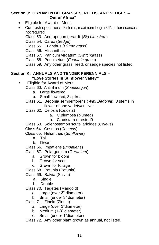#### **Section J: ORNAMENTAL GRASSES, REEDS, AND SEDGES – "Out of Africa"**

- Eligible for Award of Merit.
- Cut fresh specimens; 3 stems, maximum length 36". Inflorescence is not required.

Class 53. Andropogon gerardii (*Big bluestem*)

Class 54. Carex (*Sedge*)

Class 55. Erianthus (*Plume grass*)

Class 56. Miscanthus

Class 57. Panicum virgatum (*Switchgrass*)

Class 58. Pennisetum (*Fountain grass*)

Class 59. Any other grass, reed, or sedge species not listed.

#### **Section K: ANNUALS AND TENDER PERENNIALS – "Love Stories in Sunflower Valley"**

- Eligible for Award of Merit Class 60. Antirrhinum (*Snapdragon*)
	- a. Large flowered
	- b. Small flowered, 3 spikes
	- Class 61. Begonia semperflorens (*Wax Begonia*), 3 stems in flower of one variety/cultivar
	- Class 62. Celosia (*Celosia*)
		- a. C.plumosa (plumed)
		- b. C. cristara (crested0
	- Class 63. Solenostemon scutellarioides (*Coleus*)
	- Class 64. Cosmos (*Cosmos*)
	- Class 65. Helianthus (*Sunflower*)
		- a. Tall

b. Dwarf

Class 66. Impatiens (*Impatiens*)

Class 67. Pelargonium (*Geranium*)

- a. Grown for bloom
- b. Grown for scent
- c. Grown for foliage

Class 68. Petunia (Petunia)

- Class 69. Salvia (Salvia)
	- a. Single
	- b. Double
- Class 70. Tagetes (Marigold)
	- a. Large (over 3" diameter)
	- b. Small (under 3" diameter)
- Class 71. Zinnia (Zinnia)
	- a. Large (over 3"diameter)
	- b. Medium (1-3" diameter)
	- c. Small (under 1"diameter)

Class 72. Any other plant grown as annual, not listed.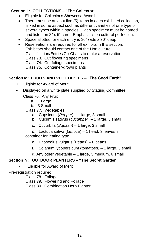#### **Section L: COLLECTIONS** – **"The Collector"**

- Eligible for Collector's Showcase Award.
- There must be at least five (5) items in each exhibited collection, linked in some aspect such as different varieties of one type or several types within a species. Each specimen must be named and listed on 3" x 5" card. Emphasis is on cultural perfection.
- Space allotted for each entry is 36" wide x 30" deep.
- Reservations are required for all exhibits in this section. Exhibitors should contact one of the Horticulture Classification/Entries Co-Chairs to make a reservation. Class 73. Cut flowering specimens Class 74. Cut foliage specimens Class 75. Container-grown plants

#### **Section M: FRUITS AND VEGETABLES** – **"The Good Earth"**

- Eligible for Award of Merit
- Displayed on a white plate supplied by Staging Committee.
	- Class 76. Any Fruit
		- a. 1 Large
		- b. 3 Small

Class 77. Vegetables

- a. Capsicum (*Pepper*) 1 large, 3 small
- b. Cucumis sativus (*cucumber*) 1 large, 3 small
- c. Cucurbita (*Squash*) 1 large, 3 small
- d. Lactuca sativa (*Lettuce*) 1 head, 3 leaves in

container for leafing type

- e. Phaseolus vulgaris (*Beans*) 6 beans
- f. Solanum lycopersicum (tomatoes) 1 large, 3 small
- g. Any other vegetable 1 large, 3 medium, 6 small

#### **Section N: OUTDOOR PLANTERS – "The Secret Garden"**

• Eligible for Award of Merit

Pre-registration required

Class 78. Foliage Class 79. Flowering and Foliage Class 80. Combination Herb Planter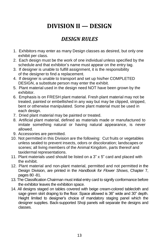# **DIVISION II — DESIGN**

## *DESIGN RULES*

- <span id="page-16-1"></span><span id="page-16-0"></span> 1. Exhibitors may enter as many Design classes as desired, but only one exhibit per class.
- 2. Each design must be the work of one individual unless specified by the schedule and that exhibitor's name must appear on the entry tag.
- 3. If designer is unable to fulfill assignment, it is the responsibility of the designer to find a replacement.
- 4. If designer is unable to transport and set up his/her COMPLETED DESIGN, a substitute person may enter the exhibit.
- 5. Plant material used in the design need NOT have been grown by the exhibitor.
- 6. Emphasis is on FRESH plant material. Fresh plant material may not be treated, painted or embellished in any way but may be clipped, stripped, bent or otherwise manipulated. Some plant material must be used in each design.
- 7. Dried plant material may be painted or treated.
- 8. Artificial plant material, defined as materials made or manufactured to imitate something natural or having natural appearance, is never allowed.
- 9. Accessories are permitted.
- 10. Not permitted in this Division are the following: Cut fruits or vegetables unless sealed to prevent insects, odors or discoloration; landscapes or scenes; all living members of the Animal Kingdom, parts thereof and taxidermal representations.
- 11. Plant materials used should be listed on a 3" x 5" card and placed with the exhibit.
- 12. Plant material and non-plant material, permitted and not permitted in the Design Division, are printed in the *Handbook for Flower Shows*, Chapter 7, pages 80 -81.
- 13. The Classification Chairman must initial entry card to signify conformance before the exhibitor leaves the exhibition space.
- <span id="page-16-2"></span>14. All designs staged on tables covered with beige cream-colored tablecloth and sage green skirt draping to the floor. Space allowed is 36" wide and 30" depth. Height limited to designer's choice of mandatory staging panel which the designer supplies. Back-supported Shoji panels will separate the designs and classes.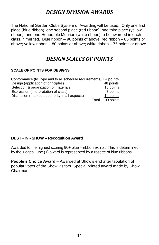## *DESIGN DIVISION AWARDS*

The National Garden Clubs System of Awarding will be used. Only one first place (blue ribbon), one second place (red ribbon), one third place (yellow ribbon), and one Honorable Mention (white ribbon) to be awarded in each class, if merited. Blue ribbon – 90 points of above; red ribbon – 85 points or above; yellow ribbon – 80 points or above; white ribbon – 75 points or above.

#### *DESIGN SCALES OF POINTS*

#### **SCALE OF POINTS FOR DESIGNS**

| Conformance (to Type and to all schedule requirements) 14 points |                  |
|------------------------------------------------------------------|------------------|
| Design (application of principles)                               | 48 points        |
| Selection & organization of materials                            | 16 points        |
| Expression (interpretation of class)                             | 8 points         |
| Distinction (marked superiority in all aspects)                  | 14 points        |
|                                                                  | Total 100 points |

#### **BEST - IN - SHOW – Recognition Award**

Awarded to the highest scoring 90+ blue – ribbon exhibit. This is determined by the judges. One (1) award is represented by a rosette of blue ribbons.

**People's Choice Award** – Awarded at Show's end after tabulation of popular votes of the Show visitors. Special printed award made by Show Chairman.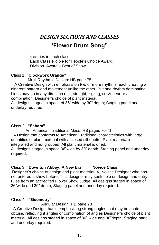# <span id="page-18-0"></span>*DESIGN SECTIONS AND CLASSES*  **"Flower Drum Song"**

 4 entries in each class Each Class eligible for People's Choice Award. Division Award – Best of Show

#### Class 1. **"Clockwork Orange"**

Multi-Rhythmic Design: HB page 75

A Creative Design with emphasis on two or more rhythms, each creating a different pattern and movement unlike the other. But one rhythm dominating. Lines may go in any direction e.g., straight, zigzag, curvilinear or a combination. Designer's choice of plant material.

All designs staged in space of 36" wide by 30" depth; Staging panel and underlay required.

#### Class 2**. "Sahara"**

 An American Traditional Mass: HB pages 70-71 A Design that conforms to American Traditional characteristics with large quantities of plant material with a closed silhouette. Plant material is integrated and not grouped. All plant material is dried. All designs staged in space 36"wide by 30" depth, Staging panel and underlay required.

#### Class 3. **"Downton Abbey: A New Era" Novice Class**

Designer's choice of design and plant material. A Novice Designer who has not entered a show before. This designer may seek help on design and entry rules from an accredited Flower Show Judge. All designs staged in space of 36"wide and 30" depth, Staging panel and underlay required.

#### Class 4. **"Geometry**"

Angular Design: HB page 73

 A Creative Design that is emphasizing strong angles that may be acute, obtuse, reflex, right angles or combination of angles Designer's choice of plant material. All designs staged in space of 36" wide and 30"depth, Staging panel and underlay required.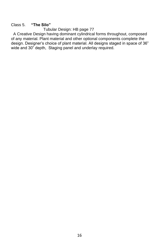#### Class 5. **"The Silo"**

Tubular Design: HB page 77

 A Creative Design having dominant cylindrical forms throughout, composed of any material. Plant material and other optional components complete the design. Designer's choice of plant material. All designs staged in space of 36" wide and 30" depth, Staging panel and underlay required.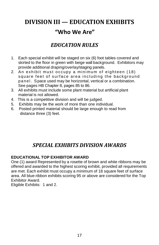# <span id="page-20-0"></span>**DIVISION III — EDUCATION EXHIBITS**

## **"Who We Are"**

## *EDUCATION RULES*

- <span id="page-20-1"></span>1. Each special exhibit will be staged on six (6) foot tables covered and skirted to the floor in green with beige wall background. Exhibitors may provide additional draping/overlay/staging panels.
- 2. An exhibit must occupy a minimum of eighteen (18) square feet of surface area including the background panel. Space used may be horizontal, vertical or a combination. See pages HB Chapter 8, pages 85 to 86.
- 3. All exhibits must include some plant material but artificial plant material is not allowed.
- 4. This is a competitive division and will be judged.
- 5. Exhibits may be the work of more than one individual.
- 6. Posted printed material should be large enough to read from distance three (3) feet.

## *SPECIAL EXHIBITS DIVISION AWARDS*

#### <span id="page-20-2"></span>**EDUCATIONAL TOP EXHIBITOR AWARD**

One (1) award Represented by a rosette of brown and white ribbons may be offered and awarded to the highest scoring exhibit, provided all requirements are met. Each exhibit must occupy a minimum of 18 square feet of surface area. All blue-ribbon exhibits scoring 95 or above are considered for the Top Exhibitor Award.

Eligible Exhibits: 1 and 2.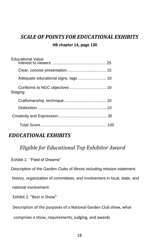# <span id="page-21-0"></span>*SCALE OF POINTS FOR EDUCATIONAL EXHIBITS*

#### **HB chapter 14, page 130**

| <b>Educational Value</b>             |  |
|--------------------------------------|--|
|                                      |  |
|                                      |  |
| Adequate educational signs, tags  10 |  |
| Staging                              |  |
|                                      |  |
|                                      |  |
|                                      |  |
|                                      |  |

## <span id="page-21-1"></span>*EDUCATIONAL EXHIBITS*

## *Eligible for Educational Top Exhibitor Award*

Exhibit 1. "Field of Dreams"

Description of the Garden Clubs of Illinois including mission statement,

history, organization of committees, and involvement in local, state, and national involvement.

Exhibit 2. "Best in Show"

Description of the purposes of a National Garden Club show, what

comprises a show, requirements, judging, and awards